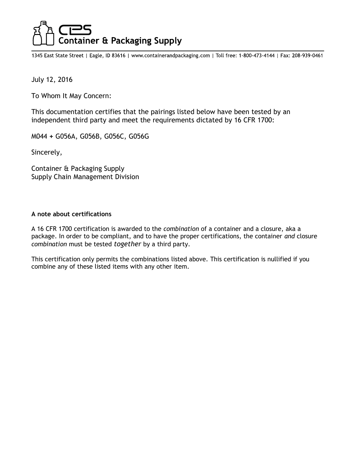# **Container & Packaging Supply**

1345 East State Street | Eagle, ID 83616 | www.containerandpackaging.com | Toll free: 1-800-473-4144 | Fax: 208-939-0461

July 12, 2016

To Whom It May Concern:

This documentation certifies that the pairings listed below have been tested by an independent third party and meet the requirements dictated by 16 CFR 1700:

M044 + G056A, G056B, G056C, G056G

Sincerely,

Container & Packaging Supply Supply Chain Management Division

## A note about certifications

A 16 CFR 1700 certification is awarded to the combination of a container and a closure, aka a package. In order to be compliant, and to have the proper certifications, the container and closure combination must be tested together by a third party.

This certification only permits the combinations listed above. This certification is nullified if you combine any of these listed items with any other item.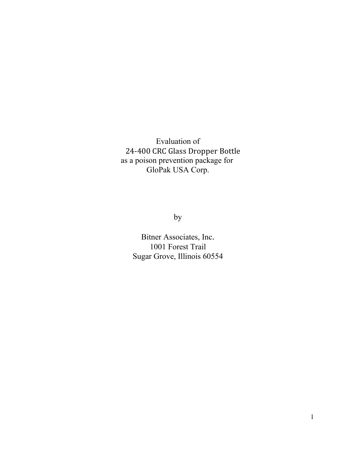Evaluation of 24-400 CRC Glass Dropper Bottle as a poison prevention package for GloPak USA Corp.

by

Bitner Associates, Inc. 1001 Forest Trail Sugar Grove, Illinois 60554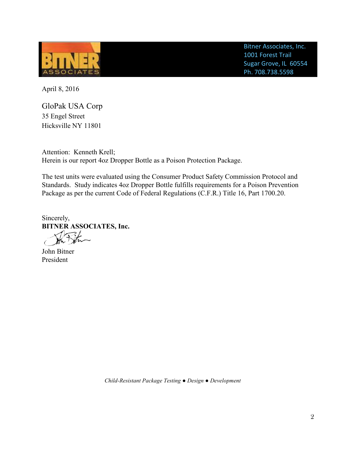

Bitner Associates, Inc. 1001 Forest Trail Sugar Grove, IL 60554 Ph. 708.738.5598

April 8, 2016

GloPak USA Corp 35 Engel Street Hicksville NY 11801

Attention: Kenneth Krell; Herein is our report 4oz Dropper Bottle as a Poison Protection Package.

The test units were evaluated using the Consumer Product Safety Commission Protocol and Standards. Study indicates 4oz Dropper Bottle fulfills requirements for a Poison Prevention Package as per the current Code of Federal Regulations (C.F.R.) Title 16, Part 1700.20.

Sincerely, **BITNER ASSOCIATES, Inc.**

John Bitner President

 $\epsilon$ 

 *Child-Resistant Package Testing ● Design ● Development*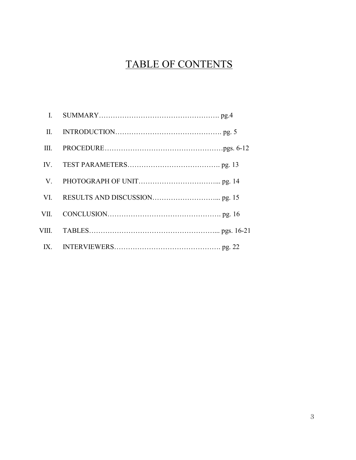# TABLE OF CONTENTS

| $\mathbf{I}$ . |  |
|----------------|--|
| II.            |  |
| III.           |  |
|                |  |
| V.             |  |
|                |  |
|                |  |
| VIII.          |  |
|                |  |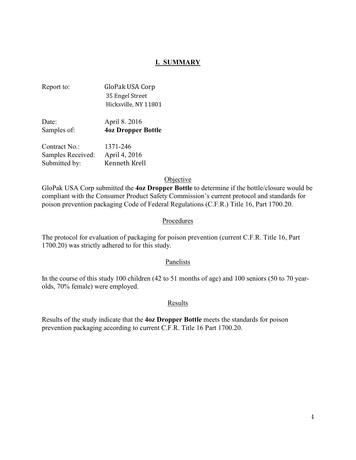# **I. SUMMARY**

| GloPak USA Corp      |
|----------------------|
| 35 Engel Street      |
| Hicksville, NY 11801 |
|                      |

| Date:            | April 8. 2016             |
|------------------|---------------------------|
| Samples of:      | <b>40z Dropper Bottle</b> |
| $C$ ontuo ot No. | 1271 $246$                |

| Contract No.:     | $13/1 - 240$  |
|-------------------|---------------|
| Samples Received: | April 4, 2016 |
| Submitted by:     | Kenneth Krell |

## Objective

GloPak USA Corp submitted the **4oz Dropper Bottle** to determine if the bottle/closure would be compliant with the Consumer Product Safety Commission's current protocol and standards for poison prevention packaging Code of Federal Regulations (C.F.R.) Title 16, Part 1700.20.

## Procedures

The protocol for evaluation of packaging for poison prevention (current C.F.R. Title 16, Part 1700.20) was strictly adhered to for this study.

#### Panelists

In the course of this study 100 children (42 to 51 months of age) and 100 seniors (50 to 70 yearolds, 70% female) were employed.

#### Results

Results of the study indicate that the **4oz Dropper Bottle** meets the standards for poison prevention packaging according to current C.F.R. Title 16 Part 1700.20.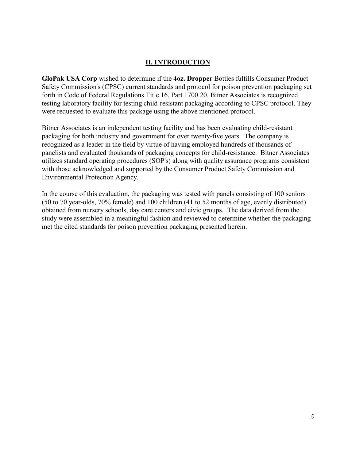# **II. INTRODUCTION**

**GloPak USA Corp** wished to determine if the **4oz. Dropper** Bottles fulfills Consumer Product Safety Commission's (CPSC) current standards and protocol for poison prevention packaging set forth in Code of Federal Regulations Title 16, Part 1700.20. Bitner Associates is recognized testing laboratory facility for testing child-resistant packaging according to CPSC protocol. They were requested to evaluate this package using the above mentioned protocol.

Bitner Associates is an independent testing facility and has been evaluating child-resistant packaging for both industry and government for over twenty-five years. The company is recognized as a leader in the field by virtue of having employed hundreds of thousands of panelists and evaluated thousands of packaging concepts for child-resistance. Bitner Associates utilizes standard operating procedures (SOP's) along with quality assurance programs consistent with those acknowledged and supported by the Consumer Product Safety Commission and Environmental Protection Agency.

In the course of this evaluation, the packaging was tested with panels consisting of 100 seniors (50 to 70 year-olds, 70% female) and 100 children (41 to 52 months of age, evenly distributed) obtained from nursery schools, day care centers and civic groups. The data derived from the study were assembled in a meaningful fashion and reviewed to determine whether the packaging met the cited standards for poison prevention packaging presented herein.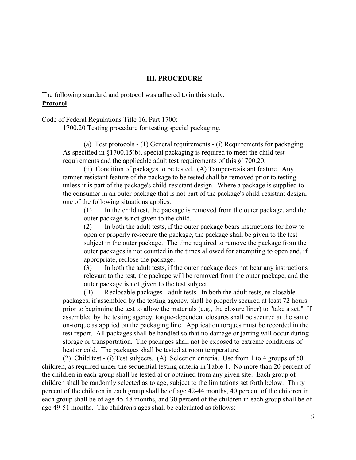## **III. PROCEDURE**

The following standard and protocol was adhered to in this study. **Protocol**

Code of Federal Regulations Title 16, Part 1700:

1700.20 Testing procedure for testing special packaging.

(a) Test protocols - (1) General requirements - (i) Requirements for packaging. As specified in §1700.15(b), special packaging is required to meet the child test requirements and the applicable adult test requirements of this §1700.20.

(ii) Condition of packages to be tested. (A) Tamper-resistant feature. Any tamper-resistant feature of the package to be tested shall be removed prior to testing unless it is part of the package's child-resistant design. Where a package is supplied to the consumer in an outer package that is not part of the package's child-resistant design, one of the following situations applies.

(1) In the child test, the package is removed from the outer package, and the outer package is not given to the child.

(2) In both the adult tests, if the outer package bears instructions for how to open or properly re-secure the package, the package shall be given to the test subject in the outer package. The time required to remove the package from the outer packages is not counted in the times allowed for attempting to open and, if appropriate, reclose the package.

(3) In both the adult tests, if the outer package does not bear any instructions relevant to the test, the package will be removed from the outer package, and the outer package is not given to the test subject.

(B) Reclosable packages - adult tests. In both the adult tests, re-closable packages, if assembled by the testing agency, shall be properly secured at least 72 hours prior to beginning the test to allow the materials (e.g., the closure liner) to "take a set." If assembled by the testing agency, torque-dependent closures shall be secured at the same on-torque as applied on the packaging line. Application torques must be recorded in the test report. All packages shall be handled so that no damage or jarring will occur during storage or transportation. The packages shall not be exposed to extreme conditions of heat or cold. The packages shall be tested at room temperature.

(2) Child test - (i) Test subjects. (A) Selection criteria. Use from 1 to 4 groups of 50 children, as required under the sequential testing criteria in Table 1. No more than 20 percent of the children in each group shall be tested at or obtained from any given site. Each group of children shall be randomly selected as to age, subject to the limitations set forth below. Thirty percent of the children in each group shall be of age 42-44 months, 40 percent of the children in each group shall be of age 45-48 months, and 30 percent of the children in each group shall be of age 49-51 months. The children's ages shall be calculated as follows: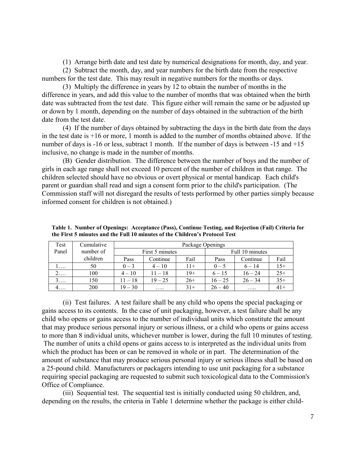(1) Arrange birth date and test date by numerical designations for month, day, and year.

(2) Subtract the month, day, and year numbers for the birth date from the respective numbers for the test date. This may result in negative numbers for the months or days.

(3) Multiply the difference in years by 12 to obtain the number of months in the difference in years, and add this value to the number of months that was obtained when the birth date was subtracted from the test date. This figure either will remain the same or be adjusted up or down by 1 month, depending on the number of days obtained in the subtraction of the birth date from the test date.

(4) If the number of days obtained by subtracting the days in the birth date from the days in the test date is  $+16$  or more, 1 month is added to the number of months obtained above. If the number of days is -16 or less, subtract 1 month. If the number of days is between -15 and  $+15$ inclusive, no change is made in the number of months.

(B) Gender distribution. The difference between the number of boys and the number of girls in each age range shall not exceed 10 percent of the number of children in that range. The children selected should have no obvious or overt physical or mental handicap. Each child's parent or guardian shall read and sign a consent form prior to the child's participation. (The Commission staff will not disregard the results of tests performed by other parties simply because informed consent for children is not obtained.)

| Test  | Cumulative | Package Openings |                 |       |           |                 |       |
|-------|------------|------------------|-----------------|-------|-----------|-----------------|-------|
| Panel | number of  |                  | First 5 minutes |       |           | Full 10 minutes |       |
|       | children   | Pass             | Continue        | Fail  | Pass      | Continue        | Fail  |
| .     | 50         | $0 - 3$          | $4 - 10$        | $11+$ | $0 - 5$   | $6 - 14$        | $15+$ |
|       | 100        | $4 - 10$         | $11 - 18$       | $19+$ | $6 - 15$  | $16 - 24$       | $25+$ |
| 3.    | 150        | $11 - 18$        | $19 - 25$       | $26+$ | $16 - 25$ | $26 - 34$       | $35+$ |
| 4.    | 200        | $19 - 30$        | .               | $31+$ | $26 - 40$ | .               | $41+$ |

**Table 1. Number of Openings: Acceptance (Pass), Continue Testing, and Rejection (Fail) Criteria for the First 5 minutes and the Full 10 minutes of the Children's Protocol Test**

(ii) Test failures. A test failure shall be any child who opens the special packaging or gains access to its contents. In the case of unit packaging, however, a test failure shall be any child who opens or gains access to the number of individual units which constitute the amount that may produce serious personal injury or serious illness, or a child who opens or gains access to more than 8 individual units, whichever number is lower, during the full 10 minutes of testing. The number of units a child opens or gains access to is interpreted as the individual units from which the product has been or can be removed in whole or in part. The determination of the amount of substance that may produce serious personal injury or serious illness shall be based on a 25-pound child. Manufacturers or packagers intending to use unit packaging for a substance requiring special packaging are requested to submit such toxicological data to the Commission's Office of Compliance.

(iii) Sequential test. The sequential test is initially conducted using 50 children, and, depending on the results, the criteria in Table 1 determine whether the package is either child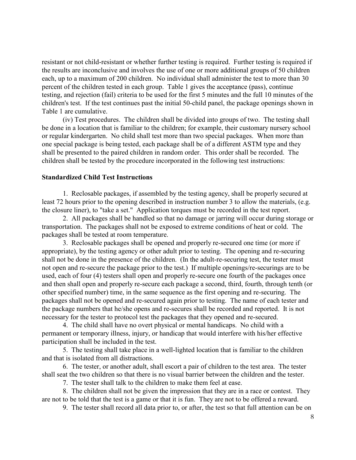resistant or not child-resistant or whether further testing is required. Further testing is required if the results are inconclusive and involves the use of one or more additional groups of 50 children each, up to a maximum of 200 children. No individual shall administer the test to more than 30 percent of the children tested in each group. Table 1 gives the acceptance (pass), continue testing, and rejection (fail) criteria to be used for the first 5 minutes and the full 10 minutes of the children's test. If the test continues past the initial 50-child panel, the package openings shown in Table 1 are cumulative.

(iv) Test procedures. The children shall be divided into groups of two. The testing shall be done in a location that is familiar to the children; for example, their customary nursery school or regular kindergarten. No child shall test more than two special packages. When more than one special package is being tested, each package shall be of a different ASTM type and they shall be presented to the paired children in random order. This order shall be recorded. The children shall be tested by the procedure incorporated in the following test instructions:

## **Standardized Child Test Instructions**

1. Reclosable packages, if assembled by the testing agency, shall be properly secured at least 72 hours prior to the opening described in instruction number 3 to allow the materials, (e.g. the closure liner), to "take a set." Application torques must be recorded in the test report.

2. All packages shall be handled so that no damage or jarring will occur during storage or transportation. The packages shall not be exposed to extreme conditions of heat or cold. The packages shall be tested at room temperature.

3. Reclosable packages shall be opened and properly re-secured one time (or more if appropriate), by the testing agency or other adult prior to testing. The opening and re-securing shall not be done in the presence of the children. (In the adult-re-securing test, the tester must not open and re-secure the package prior to the test.) If multiple openings/re-securings are to be used, each of four (4) testers shall open and properly re-secure one fourth of the packages once and then shall open and properly re-secure each package a second, third, fourth, through tenth (or other specified number) time, in the same sequence as the first opening and re-securing. The packages shall not be opened and re-secured again prior to testing. The name of each tester and the package numbers that he/she opens and re-secures shall be recorded and reported. It is not necessary for the tester to protocol test the packages that they opened and re-secured.

4. The child shall have no overt physical or mental handicaps. No child with a permanent or temporary illness, injury, or handicap that would interfere with his/her effective participation shall be included in the test.

5. The testing shall take place in a well-lighted location that is familiar to the children and that is isolated from all distractions.

6. The tester, or another adult, shall escort a pair of children to the test area. The tester shall seat the two children so that there is no visual barrier between the children and the tester.

7. The tester shall talk to the children to make them feel at ease.

8. The children shall not be given the impression that they are in a race or contest. They are not to be told that the test is a game or that it is fun. They are not to be offered a reward.

9. The tester shall record all data prior to, or after, the test so that full attention can be on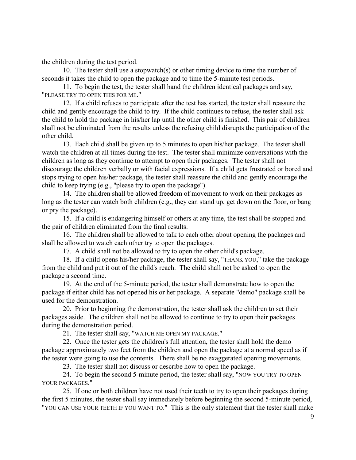the children during the test period.

10. The tester shall use a stopwatch(s) or other timing device to time the number of seconds it takes the child to open the package and to time the 5-minute test periods.

11. To begin the test, the tester shall hand the children identical packages and say, "PLEASE TRY TO OPEN THIS FOR ME."

12. If a child refuses to participate after the test has started, the tester shall reassure the child and gently encourage the child to try. If the child continues to refuse, the tester shall ask the child to hold the package in his/her lap until the other child is finished. This pair of children shall not be eliminated from the results unless the refusing child disrupts the participation of the other child.

13. Each child shall be given up to 5 minutes to open his/her package. The tester shall watch the children at all times during the test. The tester shall minimize conversations with the children as long as they continue to attempt to open their packages. The tester shall not discourage the children verbally or with facial expressions. If a child gets frustrated or bored and stops trying to open his/her package, the tester shall reassure the child and gently encourage the child to keep trying (e.g., "please try to open the package").

14. The children shall be allowed freedom of movement to work on their packages as long as the tester can watch both children (e.g., they can stand up, get down on the floor, or bang or pry the package).

15. If a child is endangering himself or others at any time, the test shall be stopped and the pair of children eliminated from the final results.

16. The children shall be allowed to talk to each other about opening the packages and shall be allowed to watch each other try to open the packages.

17. A child shall not be allowed to try to open the other child's package.

18. If a child opens his/her package, the tester shall say, "THANK YOU," take the package from the child and put it out of the child's reach. The child shall not be asked to open the package a second time.

19. At the end of the 5-minute period, the tester shall demonstrate how to open the package if either child has not opened his or her package. A separate "demo" package shall be used for the demonstration.

20. Prior to beginning the demonstration, the tester shall ask the children to set their packages aside. The children shall not be allowed to continue to try to open their packages during the demonstration period.

21. The tester shall say, "WATCH ME OPEN MY PACKAGE."

22. Once the tester gets the children's full attention, the tester shall hold the demo package approximately two feet from the children and open the package at a normal speed as if the tester were going to use the contents. There shall be no exaggerated opening movements.

23. The tester shall not discuss or describe how to open the package.

24. To begin the second 5-minute period, the tester shall say, "NOW YOU TRY TO OPEN YOUR PACKAGES."

25. If one or both children have not used their teeth to try to open their packages during the first 5 minutes, the tester shall say immediately before beginning the second 5-minute period, "YOU CAN USE YOUR TEETH IF YOU WANT TO." This is the only statement that the tester shall make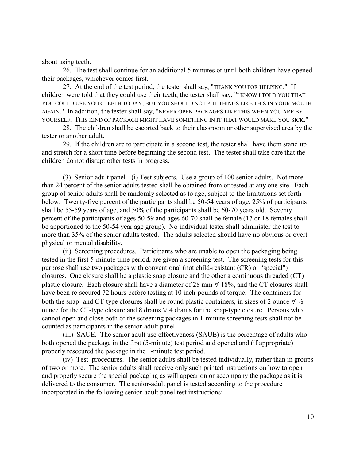about using teeth.

26. The test shall continue for an additional 5 minutes or until both children have opened their packages, whichever comes first.

27. At the end of the test period, the tester shall say, "THANK YOU FOR HELPING." If children were told that they could use their teeth, the tester shall say, "I KNOW I TOLD YOU THAT YOU COULD USE YOUR TEETH TODAY, BUT YOU SHOULD NOT PUT THINGS LIKE THIS IN YOUR MOUTH AGAIN." In addition, the tester shall say, "NEVER OPEN PACKAGES LIKE THIS WHEN YOU ARE BY YOURSELF. THIS KIND OF PACKAGE MIGHT HAVE SOMETHING IN IT THAT WOULD MAKE YOU SICK."

28. The children shall be escorted back to their classroom or other supervised area by the tester or another adult.

29. If the children are to participate in a second test, the tester shall have them stand up and stretch for a short time before beginning the second test. The tester shall take care that the children do not disrupt other tests in progress.

(3) Senior-adult panel - (i) Test subjects. Use a group of 100 senior adults. Not more than 24 percent of the senior adults tested shall be obtained from or tested at any one site. Each group of senior adults shall be randomly selected as to age, subject to the limitations set forth below. Twenty-five percent of the participants shall be 50-54 years of age, 25% of participants shall be 55-59 years of age, and 50% of the participants shall be 60-70 years old. Seventy percent of the participants of ages 50-59 and ages 60-70 shall be female (17 or 18 females shall be apportioned to the 50-54 year age group). No individual tester shall administer the test to more than 35% of the senior adults tested. The adults selected should have no obvious or overt physical or mental disability.

(ii) Screening procedures. Participants who are unable to open the packaging being tested in the first 5-minute time period, are given a screening test. The screening tests for this purpose shall use two packages with conventional (not child-resistant (CR) or "special") closures. One closure shall be a plastic snap closure and the other a continuous threaded (CT) plastic closure. Each closure shall have a diameter of 28 mm  $\forall$  18%, and the CT closures shall have been re-secured 72 hours before testing at 10 inch-pounds of torque. The containers for both the snap- and CT-type closures shall be round plastic containers, in sizes of 2 ounce  $\forall \frac{1}{2}$ ounce for the CT-type closure and 8 drams  $\forall$  4 drams for the snap-type closure. Persons who cannot open and close both of the screening packages in 1-minute screening tests shall not be counted as participants in the senior-adult panel.

(iii) SAUE. The senior adult use effectiveness (SAUE) is the percentage of adults who both opened the package in the first (5-minute) test period and opened and (if appropriate) properly resecured the package in the 1-minute test period.

(iv) Test procedures. The senior adults shall be tested individually, rather than in groups of two or more. The senior adults shall receive only such printed instructions on how to open and properly secure the special packaging as will appear on or accompany the package as it is delivered to the consumer. The senior-adult panel is tested according to the procedure incorporated in the following senior-adult panel test instructions: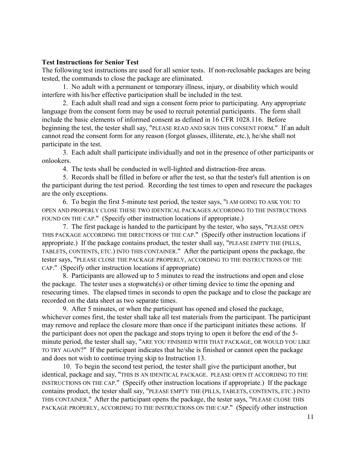## **Test Instructions for Senior Test**

The following test instructions are used for all senior tests. If non-reclosable packages are being tested, the commands to close the package are eliminated.

1. No adult with a permanent or temporary illness, injury, or disability which would interfere with his/her effective participation shall be included in the test.

2. Each adult shall read and sign a consent form prior to participating. Any appropriate language from the consent form may be used to recruit potential participants. The form shall include the basic elements of informed consent as defined in 16 CFR 1028.116. Before beginning the test, the tester shall say, "PLEASE READ AND SIGN THIS CONSENT FORM." If an adult cannot read the consent form for any reason (forgot glasses, illiterate, etc.), he/she shall not participate in the test.

3. Each adult shall participate individually and not in the presence of other participants or onlookers.

4. The tests shall be conducted in well-lighted and distraction-free areas.

5. Records shall be filled in before or after the test, so that the tester's full attention is on the participant during the test period. Recording the test times to open and resecure the packages are the only exceptions.

6. To begin the first 5-minute test period, the tester says, "I AM GOING TO ASK YOU TO OPEN AND PROPERLY CLOSE THESE TWO IDENTICAL PACKAGES ACCORDING TO THE INSTRUCTIONS FOUND ON THE CAP." (Specify other instruction locations if appropriate.)

7. The first package is handed to the participant by the tester, who says, "PLEASE OPEN THIS PACKAGE ACCORDING THE DIRECTIONS OF THE CAP." (Specify other instruction locations if appropriate.) If the package contains product, the tester shall say, "PLEASE EMPTY THE (PILLS, TABLETS, CONTENTS, ETC.) INTO THIS CONTAINER." After the participant opens the package, the tester says, "PLEASE CLOSE THE PACKAGE PROPERLY, ACCORDING TO THE INSTRUCTIONS OF THE CAP." (Specify other instruction locations if appropriate)

8. Participants are allowed up to 5 minutes to read the instructions and open and close the package. The tester uses a stopwatch(s) or other timing device to time the opening and resecuring times. The elapsed times in seconds to open the package and to close the package are recorded on the data sheet as two separate times.

9. After 5 minutes, or when the participant has opened and closed the package, whichever comes first, the tester shall take all test materials from the participant. The participant may remove and replace the closure more than once if the participant initiates these actions. If the participant does not open the package and stops trying to open it before the end of the 5 minute period, the tester shall say, "ARE YOU FINISHED WITH THAT PACKAGE, OR WOULD YOU LIKE TO TRY AGAIN?" If the participant indicates that he/she is finished or cannot open the package and does not wish to continue trying skip to Instruction 13.

10. To begin the second test period, the tester shall give the participant another, but identical, package and say, "THIS IS AN IDENTICAL PACKAGE. PLEASE OPEN IT ACCORDING TO THE INSTRUCTIONS ON THE CAP." (Specify other instruction locations if appropriate.) If the package contains product, the tester shall say, "PLEASE EMPTY THE (PILLS, TABLETS, CONTENTS, ETC.) INTO THIS CONTAINER." After the participant opens the package, the tester says, "PLEASE CLOSE THIS PACKAGE PROPERLY, ACCORDING TO THE INSTRUCTIONS ON THE CAP." (Specify other instruction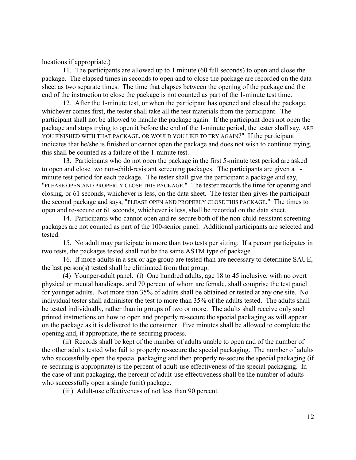locations if appropriate.)

11. The participants are allowed up to 1 minute (60 full seconds) to open and close the package. The elapsed times in seconds to open and to close the package are recorded on the data sheet as two separate times. The time that elapses between the opening of the package and the end of the instruction to close the package is not counted as part of the 1-minute test time.

12. After the 1-minute test, or when the participant has opened and closed the package, whichever comes first, the tester shall take all the test materials from the participant. The participant shall not be allowed to handle the package again. If the participant does not open the package and stops trying to open it before the end of the 1-minute period, the tester shall say, ARE YOU FINISHED WITH THAT PACKAGE, OR WOULD YOU LIKE TO TRY AGAIN?" If the participant indicates that he/she is finished or cannot open the package and does not wish to continue trying, this shall be counted as a failure of the 1-minute test.

13. Participants who do not open the package in the first 5-minute test period are asked to open and close two non-child-resistant screening packages. The participants are given a 1 minute test period for each package. The tester shall give the participant a package and say, "PLEASE OPEN AND PROPERLY CLOSE THIS PACKAGE." The tester records the time for opening and closing, or 61 seconds, whichever is less, on the data sheet. The tester then gives the participant the second package and says, "PLEASE OPEN AND PROPERLY CLOSE THIS PACKAGE." The times to open and re-secure or 61 seconds, whichever is less, shall be recorded on the data sheet.

14. Participants who cannot open and re-secure both of the non-child-resistant screening packages are not counted as part of the 100-senior panel. Additional participants are selected and tested.

15. No adult may participate in more than two tests per sitting. If a person participates in two tests, the packages tested shall not be the same ASTM type of package.

16. If more adults in a sex or age group are tested than are necessary to determine SAUE, the last person(s) tested shall be eliminated from that group.

(4) Younger-adult panel. (i) One hundred adults, age 18 to 45 inclusive, with no overt physical or mental handicaps, and 70 percent of whom are female, shall comprise the test panel for younger adults. Not more than 35% of adults shall be obtained or tested at any one site. No individual tester shall administer the test to more than 35% of the adults tested. The adults shall be tested individually, rather than in groups of two or more. The adults shall receive only such printed instructions on how to open and properly re-secure the special packaging as will appear on the package as it is delivered to the consumer. Five minutes shall be allowed to complete the opening and, if appropriate, the re-securing process.

(ii) Records shall be kept of the number of adults unable to open and of the number of the other adults tested who fail to properly re-secure the special packaging. The number of adults who successfully open the special packaging and then properly re-secure the special packaging (if re-securing is appropriate) is the percent of adult-use effectiveness of the special packaging. In the case of unit packaging, the percent of adult-use effectiveness shall be the number of adults who successfully open a single (unit) package.

(iii) Adult-use effectiveness of not less than 90 percent.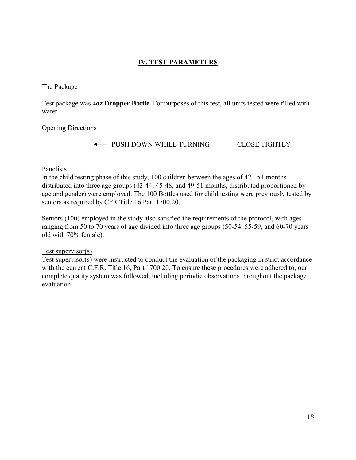# **IV. TEST PARAMETERS**

## The Package

Test package was **4oz Dropper Bottle.** For purposes of this test, all units tested were filled with water.

Opening Directions

The PUSH DOWN WHILE TURNING CLOSE TIGHTLY

# Panelists

In the child testing phase of this study, 100 children between the ages of 42 - 51 months distributed into three age groups (42-44, 45-48, and 49-51 months, distributed proportioned by age and gender) were employed. The 100 Bottles used for child testing were previously tested by seniors as required by CFR Title 16 Part 1700.20.

Seniors (100) employed in the study also satisfied the requirements of the protocol, with ages ranging from 50 to 70 years of age divided into three age groups (50-54, 55-59, and 60-70 years old with 70% female).

# Test supervisor(s)

Test supervisor(s) were instructed to conduct the evaluation of the packaging in strict accordance with the current C.F.R. Title 16, Part 1700.20. To ensure these procedures were adhered to, our complete quality system was followed, including periodic observations throughout the package evaluation.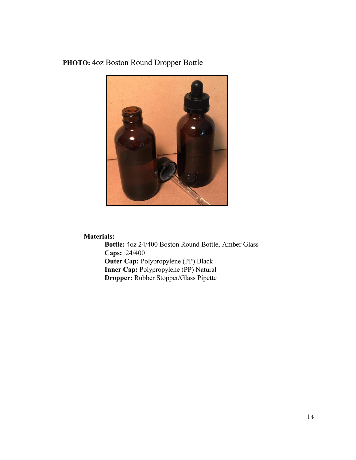# **PHOTO:** 4oz Boston Round Dropper Bottle



# **Materials:**

**Bottle:** 4oz 24/400 Boston Round Bottle, Amber Glass **Caps:** 24/400 **Outer Cap: Polypropylene (PP) Black Inner Cap:** Polypropylene (PP) Natural **Dropper:** Rubber Stopper/Glass Pipette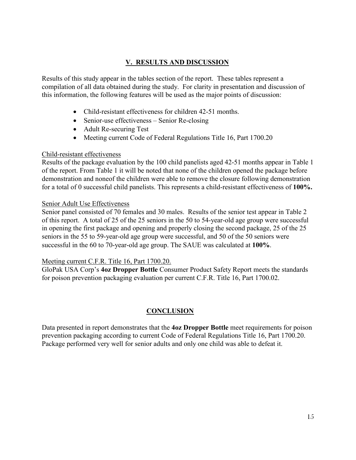# **V. RESULTS AND DISCUSSION**

Results of this study appear in the tables section of the report. These tables represent a compilation of all data obtained during the study. For clarity in presentation and discussion of this information, the following features will be used as the major points of discussion:

- Child-resistant effectiveness for children 42-51 months.
- Senior-use effectiveness Senior Re-closing
- Adult Re-securing Test
- Meeting current Code of Federal Regulations Title 16, Part 1700.20

# Child-resistant effectiveness

Results of the package evaluation by the 100 child panelists aged 42-51 months appear in Table 1 of the report. From Table 1 it will be noted that none of the children opened the package before demonstration and noneof the children were able to remove the closure following demonstration for a total of 0 successful child panelists. This represents a child-resistant effectiveness of **100%.**

# Senior Adult Use Effectiveness

Senior panel consisted of 70 females and 30 males. Results of the senior test appear in Table 2 of this report. A total of 25 of the 25 seniors in the 50 to 54-year-old age group were successful in opening the first package and opening and properly closing the second package, 25 of the 25 seniors in the 55 to 59-year-old age group were successful, and 50 of the 50 seniors were successful in the 60 to 70-year-old age group. The SAUE was calculated at **100%**.

# Meeting current C.F.R. Title 16, Part 1700.20.

GloPak USA Corp's **4oz Dropper Bottle** Consumer Product Safety Report meets the standards for poison prevention packaging evaluation per current C.F.R. Title 16, Part 1700.02.

# **CONCLUSION**

Data presented in report demonstrates that the **4oz Dropper Bottle** meet requirements for poison prevention packaging according to current Code of Federal Regulations Title 16, Part 1700.20. Package performed very well for senior adults and only one child was able to defeat it.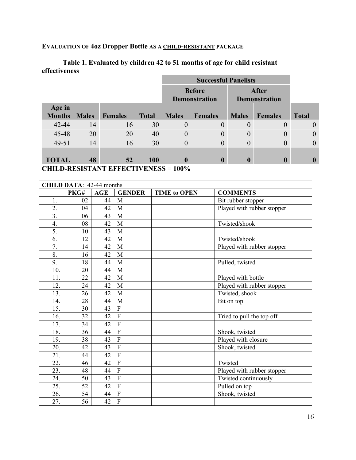# **EVALUATION OF 4oz Dropper Bottle AS A CHILD-RESISTANT PACKAGE**

# **Table 1. Evaluated by children 42 to 51 months of age for child resistant effectiveness**

|                         |              |                |              |                  | <b>Before</b><br><b>Demonstration</b> |                  | <b>After</b><br><b>Demonstration</b> |                |
|-------------------------|--------------|----------------|--------------|------------------|---------------------------------------|------------------|--------------------------------------|----------------|
| Age in<br><b>Months</b> | <b>Males</b> | <b>Females</b> | <b>Total</b> | <b>Males</b>     | <b>Females</b>                        | <b>Males</b>     | <b>Females</b>                       | <b>Total</b>   |
| 42-44                   | 14           | 16             | 30           | $\theta$         | $\theta$                              | $\theta$         | $\overline{0}$                       |                |
| 45-48                   | 20           | 20             | 40           | $\theta$         | $\Omega$                              | $\theta$         | $\theta$                             | 0              |
| 49-51                   | 14           | 16             | 30           | $\theta$         | $\Omega$                              | $\mathbf{0}$     | $\theta$                             | $\overline{0}$ |
| <b>TOTAL</b>            | 48           | 52             | 100          | $\boldsymbol{0}$ | $\mathbf 0$                           | $\boldsymbol{0}$ | $\boldsymbol{0}$                     | $\mathbf 0$    |

**CHILD-RESISTANT EFFECTIVENESS = 100%**

| <b>CHILD DATA: 42-44 months</b> |                 |     |                |                            |                            |  |  |  |
|---------------------------------|-----------------|-----|----------------|----------------------------|----------------------------|--|--|--|
|                                 | PKG#            | AGE | <b>GENDER</b>  | <b>TIME to OPEN</b>        | <b>COMMENTS</b>            |  |  |  |
| 1.                              | 02              | 44  | M              |                            | Bit rubber stopper         |  |  |  |
| 2.                              | 04              | 42  | M              |                            | Played with rubber stopper |  |  |  |
| 3.                              | 06              | 43  | M              |                            |                            |  |  |  |
| 4.                              | 08              | 42  | M              |                            | Twisted/shook              |  |  |  |
| 5.                              | 10              | 43  | M              |                            |                            |  |  |  |
| 6.                              | 12              | 42  | M              |                            | Twisted/shook              |  |  |  |
| 7.                              | 14              | 42  | M              |                            | Played with rubber stopper |  |  |  |
| 8.                              | 16              | 42  | M              |                            |                            |  |  |  |
| 9.                              | 18              | 44  | M              |                            | Pulled, twisted            |  |  |  |
| 10.                             | 20              | 44  | M              |                            |                            |  |  |  |
| 11.                             | 22              | 42  | M              |                            | Played with bottle         |  |  |  |
| 12.                             | 24              | 42  | M              | Played with rubber stopper |                            |  |  |  |
| 13.                             | 26              | 42  | M              | Twisted, shook             |                            |  |  |  |
| 14.                             | 28              | 44  | M              | Bit on top                 |                            |  |  |  |
| 15.                             | 30              | 43  | $\overline{F}$ |                            |                            |  |  |  |
| 16.                             | 32              | 42  | $\overline{F}$ |                            | Tried to pull the top off  |  |  |  |
| 17.                             | 34              | 42  | $\overline{F}$ |                            |                            |  |  |  |
| 18.                             | 36              | 44  | $\overline{F}$ |                            | Shook, twisted             |  |  |  |
| 19.                             | 38              | 43  | $\overline{F}$ |                            | Played with closure        |  |  |  |
| 20.                             | 42              | 43  | $\overline{F}$ |                            | Shook, twisted             |  |  |  |
| 21.                             | 44              | 42  | $\overline{F}$ |                            |                            |  |  |  |
| 22.                             | 46              | 42  | $\overline{F}$ |                            | Twisted                    |  |  |  |
| 23.                             | 48              | 44  | $\overline{F}$ |                            | Played with rubber stopper |  |  |  |
| 24.                             | 50              | 43  | $\overline{F}$ |                            | Twisted continuously       |  |  |  |
| 25.                             | 52              | 42  | $\overline{F}$ |                            | Pulled on top              |  |  |  |
| 26.                             | 54              | 44  | $\overline{F}$ |                            | Shook, twisted             |  |  |  |
| 27.                             | $\overline{56}$ | 42  | $\overline{F}$ |                            |                            |  |  |  |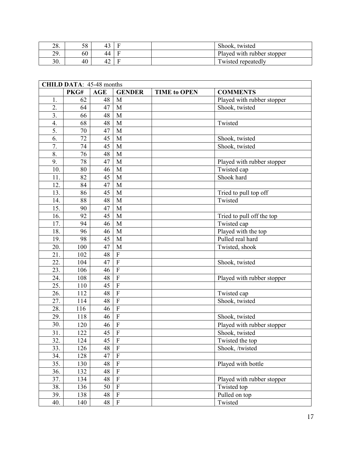| $\mathcal{D}$<br>2٥. | 58 |    | Shook, twisted             |
|----------------------|----|----|----------------------------|
| 29.                  | 60 | 44 | Played with rubber stopper |
| 30.                  | 40 | 42 | Twisted repeatedly         |

| <b>CHILD DATA: 45-48 months</b> |                 |            |                           |                     |                            |  |  |  |
|---------------------------------|-----------------|------------|---------------------------|---------------------|----------------------------|--|--|--|
|                                 | PKG#            | <b>AGE</b> | <b>GENDER</b>             | <b>TIME to OPEN</b> | <b>COMMENTS</b>            |  |  |  |
| 1.                              | 62              | 48         | M                         |                     | Played with rubber stopper |  |  |  |
| 2.                              | 64              | 47         | M                         | Shook, twisted      |                            |  |  |  |
| 3.                              | 66              | 48         | M                         |                     |                            |  |  |  |
| 4.                              | 68              | 48         | M                         |                     | Twisted                    |  |  |  |
| 5.                              | 70              | 47         | M                         |                     |                            |  |  |  |
| 6.                              | 72              | 45         | M                         |                     | Shook, twisted             |  |  |  |
| 7.                              | 74              | 45         | M                         |                     | Shook, twisted             |  |  |  |
| 8.                              | $\overline{76}$ | 48         | M                         |                     |                            |  |  |  |
| 9.                              | 78              | 47         | M                         |                     | Played with rubber stopper |  |  |  |
| 10.                             | 80              | 46         | M                         |                     | Twisted cap                |  |  |  |
| 11.                             | 82              | 45         | M                         |                     | Shook hard                 |  |  |  |
| 12.                             | 84              | 47         | M                         |                     |                            |  |  |  |
| 13.                             | 86              | 45         | M                         |                     | Tried to pull top off      |  |  |  |
| 14.                             | 88              | 48         | M                         |                     | Twisted                    |  |  |  |
| 15.                             | 90              | 47         | M                         |                     |                            |  |  |  |
| 16.                             | 92              | 45         | M                         |                     | Tried to pull off the top  |  |  |  |
| 17.                             | 94              | 46         | M                         | Twisted cap         |                            |  |  |  |
| 18.                             | 96              | 46         | M                         | Played with the top |                            |  |  |  |
| 19.                             | 98              | 45         | M                         | Pulled real hard    |                            |  |  |  |
| 20.                             | 100             | 47         | M                         | Twisted, shook      |                            |  |  |  |
| 21.                             | 102             | 48         | $\overline{F}$            |                     |                            |  |  |  |
| 22.                             | 104             | 47         | $\overline{F}$            |                     | Shook, twisted             |  |  |  |
| 23.                             | 106             | 46         | $\overline{F}$            |                     |                            |  |  |  |
| 24.                             | 108             | 48         | $\overline{F}$            |                     | Played with rubber stopper |  |  |  |
| 25.                             | 110             | 45         | $\overline{F}$            |                     |                            |  |  |  |
| 26.                             | 112             | 48         | $\overline{F}$            |                     | Twisted cap                |  |  |  |
| 27.                             | 114             | 48         | $\overline{F}$            |                     | Shook, twisted             |  |  |  |
| 28.                             | 116             | 46         | $\overline{F}$            |                     |                            |  |  |  |
| 29.                             | 118             | 46         | $\overline{F}$            |                     | Shook, twisted             |  |  |  |
| 30.                             | 120             | 46         | $\overline{F}$            |                     | Played with rubber stopper |  |  |  |
| 31.                             | 122             | 45         | $\overline{F}$            |                     | Shook, twisted             |  |  |  |
| 32.                             | 124             | 45         | $\overline{\mathrm{F}}$   |                     | Twisted the top            |  |  |  |
| 33.                             | 126             | 48         | $\overline{F}$            |                     | Shook, /twisted            |  |  |  |
| 34.                             | 128             | 47         | $\overline{\mathrm{F}}$   |                     |                            |  |  |  |
| 35.                             | 130             | 48         | $\mathbf F$               |                     | Played with bottle         |  |  |  |
| 36.                             | 132             | 48         | $\overline{F}$            |                     |                            |  |  |  |
| 37.                             | 134             | 48         | $\boldsymbol{\mathrm{F}}$ |                     | Played with rubber stopper |  |  |  |
| 38.                             | 136             | 50         | $\overline{F}$            |                     | Twisted top                |  |  |  |
| 39.                             | 138             | 48         | $\overline{\mathrm{F}}$   |                     | Pulled on top              |  |  |  |
| 40.                             | 140             | 48         | $\mathbf F$               |                     | Twisted                    |  |  |  |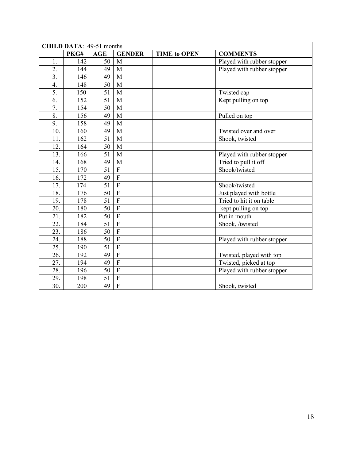| CHILD DATA: 49-51 months |      |            |                           |                            |                            |  |  |  |
|--------------------------|------|------------|---------------------------|----------------------------|----------------------------|--|--|--|
|                          | PKG# | <b>AGE</b> | <b>GENDER</b>             | <b>TIME to OPEN</b>        | <b>COMMENTS</b>            |  |  |  |
| 1.                       | 142  | 50         | M                         |                            | Played with rubber stopper |  |  |  |
| 2.                       | 144  | 49         | M                         |                            | Played with rubber stopper |  |  |  |
| $\overline{3}$ .         | 146  | 49         | $\mathbf{M}$              |                            |                            |  |  |  |
| 4.                       | 148  | 50         | M                         |                            |                            |  |  |  |
| 5.                       | 150  | 51         | M                         |                            | Twisted cap                |  |  |  |
| 6.                       | 152  | 51         | M                         |                            | Kept pulling on top        |  |  |  |
| 7.                       | 154  | 50         | M                         |                            |                            |  |  |  |
| 8.                       | 156  | 49         | M                         |                            | Pulled on top              |  |  |  |
| 9.                       | 158  | 49         | M                         |                            |                            |  |  |  |
| 10.                      | 160  | 49         | M                         |                            | Twisted over and over      |  |  |  |
| 11.                      | 162  | 51         | M                         |                            | Shook, twisted             |  |  |  |
| 12.                      | 164  | 50         | M                         |                            |                            |  |  |  |
| 13.                      | 166  | 51         | M                         | Played with rubber stopper |                            |  |  |  |
| 14.                      | 168  | 49         | M                         | Tried to pull it off       |                            |  |  |  |
| 15.                      | 170  | 51         | $\overline{F}$            | Shook/twisted              |                            |  |  |  |
| 16.                      | 172  | 49         | $\overline{F}$            |                            |                            |  |  |  |
| 17.                      | 174  | 51         | $\overline{F}$            |                            | Shook/twisted              |  |  |  |
| 18.                      | 176  | 50         | $\overline{F}$            |                            | Just played with bottle    |  |  |  |
| 19.                      | 178  | 51         | $\overline{F}$            |                            | Tried to hit it on table   |  |  |  |
| 20.                      | 180  | 50         | $\overline{F}$            |                            | kept pulling on top        |  |  |  |
| 21.                      | 182  | 50         | $\overline{F}$            |                            | Put in mouth               |  |  |  |
| 22.                      | 184  | 51         | $\overline{F}$            |                            | Shook, /twisted            |  |  |  |
| 23.                      | 186  | 50         | $\boldsymbol{\mathrm{F}}$ |                            |                            |  |  |  |
| 24.                      | 188  | 50         | $\overline{F}$            |                            | Played with rubber stopper |  |  |  |
| 25.                      | 190  | 51         | $\overline{F}$            |                            |                            |  |  |  |
| 26.                      | 192  | 49         | $\overline{F}$            |                            | Twisted, played with top   |  |  |  |
| 27.                      | 194  | 49         | $\overline{F}$            |                            | Twisted, picked at top     |  |  |  |
| 28.                      | 196  | 50         | $\overline{F}$            |                            | Played with rubber stopper |  |  |  |
| 29.                      | 198  | 51         | ${\bf F}$                 |                            |                            |  |  |  |
| $\overline{30}$ .        | 200  | 49         | $\overline{F}$            |                            | Shook, twisted             |  |  |  |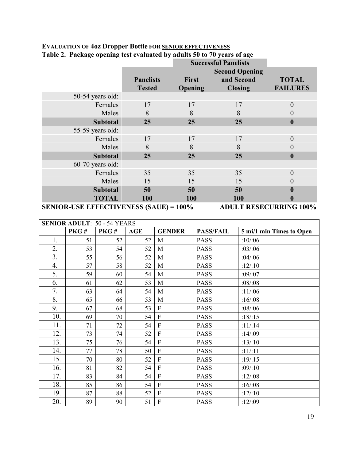| ా<br>-             |                                                         |                  | <b>Successful Panelists</b>                           |                                                                                                                                                                                                                                                                                                                             |  |
|--------------------|---------------------------------------------------------|------------------|-------------------------------------------------------|-----------------------------------------------------------------------------------------------------------------------------------------------------------------------------------------------------------------------------------------------------------------------------------------------------------------------------|--|
|                    | <b>Panelists</b><br><b>Tested</b>                       | First<br>Opening | <b>Second Opening</b><br>and Second<br><b>Closing</b> | <b>TOTAL</b><br><b>FAILURES</b>                                                                                                                                                                                                                                                                                             |  |
| 50-54 years old:   |                                                         |                  |                                                       |                                                                                                                                                                                                                                                                                                                             |  |
| Females            | 17                                                      | 17               | 17                                                    | $\theta$                                                                                                                                                                                                                                                                                                                    |  |
| Males              | 8                                                       | 8                | 8                                                     | $\theta$                                                                                                                                                                                                                                                                                                                    |  |
| <b>Subtotal</b>    | 25                                                      | 25               | 25                                                    | $\boldsymbol{0}$                                                                                                                                                                                                                                                                                                            |  |
| 55-59 years old:   |                                                         |                  |                                                       |                                                                                                                                                                                                                                                                                                                             |  |
| Females            | 17                                                      | 17               | 17                                                    | $\mathbf{0}$                                                                                                                                                                                                                                                                                                                |  |
| Males              | 8                                                       | 8                | 8                                                     | 0                                                                                                                                                                                                                                                                                                                           |  |
| <b>Subtotal</b>    | 25                                                      | 25               | 25                                                    | $\boldsymbol{0}$                                                                                                                                                                                                                                                                                                            |  |
| $60-70$ years old: |                                                         |                  |                                                       |                                                                                                                                                                                                                                                                                                                             |  |
| Females            | 35                                                      | 35               | 35                                                    | $\theta$                                                                                                                                                                                                                                                                                                                    |  |
| Males              | 15                                                      | 15               | 15                                                    | $\overline{0}$                                                                                                                                                                                                                                                                                                              |  |
| <b>Subtotal</b>    | 50                                                      | 50               | 50                                                    | 0                                                                                                                                                                                                                                                                                                                           |  |
| <b>TOTAL</b>       | 100                                                     | 100              | 100                                                   |                                                                                                                                                                                                                                                                                                                             |  |
| $\alpha$           | $C$ $T$ $T$ $T$ $T$ $T$ $T$ $T$ $C$ $C$<br>$(0.1$ $TTT$ | .                | <b>DITT E DEAR</b>                                    | $Q$ $\mathbf{F}$ $\mathbf{F}$ $\mathbf{F}$ $\mathbf{F}$ $\mathbf{F}$ $\mathbf{F}$ $\mathbf{F}$ $\mathbf{F}$ $\mathbf{F}$ $\mathbf{F}$ $\mathbf{F}$ $\mathbf{F}$ $\mathbf{F}$ $\mathbf{F}$ $\mathbf{F}$ $\mathbf{F}$ $\mathbf{F}$ $\mathbf{F}$ $\mathbf{F}$ $\mathbf{F}$ $\mathbf{F}$ $\mathbf{F}$ $\mathbf{F}$ $\mathbf{F}$ |  |

# **EVALUATION OF 4oz Dropper Bottle FOR SENIOR EFFECTIVENESS Table 2. Package opening test evaluated by adults 50 to 70 years of age**

**SENIOR-USE EFFECTIVENESS (SAUE)** = **100% ADULT RESECURRING 100%**

| <b>SENIOR ADULT: 50 - 54 YEARS</b> |      |      |     |                |                  |                          |  |  |  |
|------------------------------------|------|------|-----|----------------|------------------|--------------------------|--|--|--|
|                                    | PKG# | PKG# | AGE | <b>GENDER</b>  | <b>PASS/FAIL</b> | 5 mi/1 min Times to Open |  |  |  |
| 1.                                 | 51   | 52   | 52  | M              | <b>PASS</b>      | :10/06                   |  |  |  |
| 2.                                 | 53   | 54   | 52  | $\mathbf{M}$   | <b>PASS</b>      | :03/06                   |  |  |  |
| 3.                                 | 55   | 56   | 52  | M              | <b>PASS</b>      | :04/106                  |  |  |  |
| 4.                                 | 57   | 58   | 52  | M              | <b>PASS</b>      | : $12/10$                |  |  |  |
| 5.                                 | 59   | 60   | 54  | M              | <b>PASS</b>      | $:09$ :07                |  |  |  |
| 6.                                 | 61   | 62   | 53  | M              | <b>PASS</b>      | :08/0.08                 |  |  |  |
| 7.                                 | 63   | 64   | 54  | M              | <b>PASS</b>      | :11/:06                  |  |  |  |
| 8.                                 | 65   | 66   | 53  | M              | <b>PASS</b>      | :16/108                  |  |  |  |
| 9.                                 | 67   | 68   | 53  | $\mathbf{F}$   | <b>PASS</b>      | :08:06                   |  |  |  |
| 10.                                | 69   | 70   | 54  | $\mathbf{F}$   | <b>PASS</b>      | :18/:15                  |  |  |  |
| 11.                                | 71   | 72   | 54  | $\mathbf{F}$   | <b>PASS</b>      | : $11/14$                |  |  |  |
| 12.                                | 73   | 74   | 52  | $\mathbf{F}$   | <b>PASS</b>      | :14/:09                  |  |  |  |
| 13.                                | 75   | 76   | 54  | $\overline{F}$ | <b>PASS</b>      | :13/10                   |  |  |  |
| 14.                                | 77   | 78   | 50  | $\overline{F}$ | <b>PASS</b>      | : $11/11$                |  |  |  |
| 15.                                | 70   | 80   | 52  | $\mathbf{F}$   | <b>PASS</b>      | :19/:15                  |  |  |  |
| 16.                                | 81   | 82   | 54  | $\overline{F}$ | <b>PASS</b>      | :09:10                   |  |  |  |
| 17.                                | 83   | 84   | 54  | $\mathbf{F}$   | <b>PASS</b>      | : $12/108$               |  |  |  |
| 18.                                | 85   | 86   | 54  | $\mathbf{F}$   | <b>PASS</b>      | :16/108                  |  |  |  |
| 19.                                | 87   | 88   | 52  | $\overline{F}$ | <b>PASS</b>      | : $12/10$                |  |  |  |
| 20.                                | 89   | 90   | 51  | $\mathbf{F}$   | <b>PASS</b>      | :12/:09                  |  |  |  |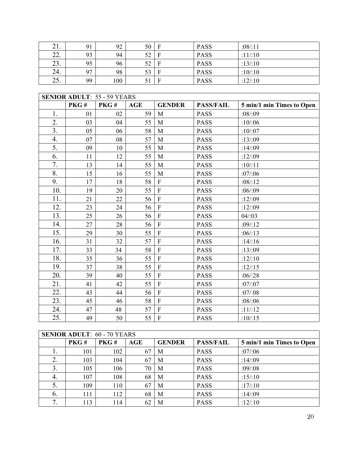| 21. | 91             | 92  | $50$ F |              | <b>PASS</b> | :08/11 |
|-----|----------------|-----|--------|--------------|-------------|--------|
| 22. | 93             | 94  | 52     | $\mathbf{F}$ | <b>PASS</b> | :11/10 |
| 23. | 95             | 96  | 52     | $\mathbf F$  | <b>PASS</b> | :13/10 |
| 24. | Q <sub>7</sub> | 98  | 53     | $\mathbf{F}$ | <b>PASS</b> | :10/10 |
| 25. | 99             | 100 |        | $\mathbf{F}$ | <b>PASS</b> | :12/10 |

| <b>SENIOR ADULT: 55 - 59 YEARS</b> |      |      |            |                           |                  |                           |  |
|------------------------------------|------|------|------------|---------------------------|------------------|---------------------------|--|
|                                    | PKG# | PKG# | <b>AGE</b> | <b>GENDER</b>             | <b>PASS/FAIL</b> | 5 min/1 min Times to Open |  |
| 1.                                 | 01   | 02   | 59         | M                         | <b>PASS</b>      | :08/09                    |  |
| 2.                                 | 03   | 04   | 55         | M                         | <b>PASS</b>      | :10/06                    |  |
| 3.                                 | 05   | 06   | 58         | M                         | <b>PASS</b>      | :10/107                   |  |
| 4.                                 | 07   | 08   | 57         | M                         | <b>PASS</b>      | : $13/109$                |  |
| 5.                                 | 09   | 10   | 55         | M                         | <b>PASS</b>      | :14/:09                   |  |
| 6.                                 | 11   | 12   | 55         | M                         | <b>PASS</b>      | : $12/109$                |  |
| 7.                                 | 13   | 14   | 55         | M                         | <b>PASS</b>      | :10/11                    |  |
| 8.                                 | 15   | 16   | 55         | M                         | <b>PASS</b>      | :07/06                    |  |
| 9.                                 | 17   | 18   | 58         | $\mathbf{F}$              | <b>PASS</b>      | :08/12                    |  |
| 10.                                | 19   | 20   | 55         | $\overline{F}$            | <b>PASS</b>      | :06/09                    |  |
| 11.                                | 21   | 22   | 56         | $\overline{F}$            | <b>PASS</b>      | : $12/109$                |  |
| 12.                                | 23   | 24   | 56         | $\rm F$                   | <b>PASS</b>      | :12/:09                   |  |
| 13.                                | 25   | 26   | 56         | $\boldsymbol{\mathrm{F}}$ | <b>PASS</b>      | 04/103                    |  |
| 14.                                | 27   | 28   | 56         | $\overline{F}$            | <b>PASS</b>      | :09:12                    |  |
| 15.                                | 29   | 30   | 55         | $\overline{F}$            | <b>PASS</b>      | :06/13                    |  |
| 16.                                | 31   | 32   | 57         | $\overline{F}$            | <b>PASS</b>      | : $14/16$                 |  |
| 17.                                | 33   | 34   | 58         | $\mathbf F$               | <b>PASS</b>      | : $13/109$                |  |
| 18.                                | 35   | 36   | 55         | $\overline{F}$            | <b>PASS</b>      | : $12/10$                 |  |
| 19.                                | 37   | 38   | 55         | $\overline{F}$            | <b>PASS</b>      | : $12/15$                 |  |
| 20.                                | 39   | 40   | 55         | $\overline{F}$            | <b>PASS</b>      | :06/28                    |  |
| 21.                                | 41   | 42   | 55         | $\rm F$                   | <b>PASS</b>      | :07/107                   |  |
| 22.                                | 43   | 44   | 56         | $\mathbf{F}$              | <b>PASS</b>      | :07/08                    |  |
| 23.                                | 45   | 46   | 58         | $\overline{F}$            | <b>PASS</b>      | :08:06                    |  |
| 24.                                | 47   | 48   | 57         | $\rm F$                   | <b>PASS</b>      | : $11/12$                 |  |
| 25.                                | 49   | 50   | 55         | $\mathbf{F}$              | <b>PASS</b>      | :10/:15                   |  |

| <b>SENIOR ADULT: 60 - 70 YEARS</b> |      |      |     |               |                  |                           |  |  |
|------------------------------------|------|------|-----|---------------|------------------|---------------------------|--|--|
|                                    | PKG# | PKG# | AGE | <b>GENDER</b> | <b>PASS/FAIL</b> | 5 min/1 min Times to Open |  |  |
| ı.                                 | 101  | 102  | 67  | M             | <b>PASS</b>      | :07/06                    |  |  |
| 2.                                 | 103  | 104  | 67  | M             | <b>PASS</b>      | :14/:09                   |  |  |
| 3.                                 | 105  | 106  | 70  | M             | <b>PASS</b>      | :09:08                    |  |  |
| 4.                                 | 107  | 108  | 68  | M             | <b>PASS</b>      | : $15/10$                 |  |  |
| 5.                                 | 109  | 110  | 67  | M             | <b>PASS</b>      | :17/10                    |  |  |
| 6.                                 | 111  | 112  | 68  | M             | <b>PASS</b>      | :14/:09                   |  |  |
| 7.                                 | 113  | 114  |     | M             | <b>PASS</b>      | :12/10                    |  |  |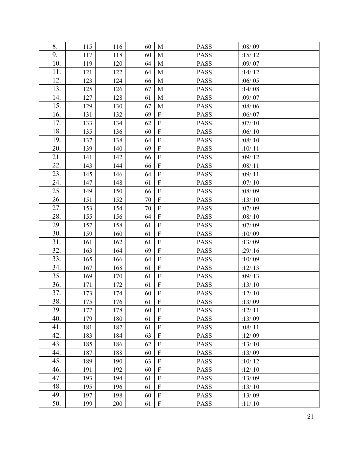| 8.  | 115 | 116 | 60 | M                         | <b>PASS</b> | :08/09     |
|-----|-----|-----|----|---------------------------|-------------|------------|
| 9.  | 117 | 118 | 60 | M                         | <b>PASS</b> | : $15/12$  |
| 10. | 119 | 120 | 64 | M                         | <b>PASS</b> | $:09$ :07  |
| 11. | 121 | 122 | 64 | M                         | <b>PASS</b> | : $14/12$  |
| 12. | 123 | 124 | 66 | M                         | <b>PASS</b> | :06/05     |
| 13. | 125 | 126 | 67 | M                         | <b>PASS</b> | :14/108    |
| 14. | 127 | 128 | 61 | M                         | <b>PASS</b> | $:09$ :07  |
| 15. | 129 | 130 | 67 | M                         | <b>PASS</b> | :08/06     |
| 16. | 131 | 132 | 69 | ${\bf F}$                 | <b>PASS</b> | :06/07     |
| 17. | 133 | 134 | 62 | $\rm F$                   | <b>PASS</b> | :07/10     |
| 18. | 135 | 136 | 60 | $\rm F$                   | PASS        | :06/10     |
| 19. | 137 | 138 | 64 | $\rm F$                   | <b>PASS</b> | :08/10     |
| 20. | 139 | 140 | 69 | $\rm F$                   | <b>PASS</b> | :10/11     |
| 21. | 141 | 142 | 66 | ${\bf F}$                 | <b>PASS</b> | :09:12     |
| 22. | 143 | 144 | 66 | $\rm F$                   | <b>PASS</b> | :08:11     |
| 23. | 145 | 146 | 64 | $\rm F$                   | <b>PASS</b> | :09:11     |
| 24. | 147 | 148 | 61 | $\rm F$                   | <b>PASS</b> | :07/10     |
| 25. | 149 | 150 | 66 | $\rm F$                   | <b>PASS</b> | :08:09     |
| 26. | 151 | 152 | 70 | $\mathbf F$               | <b>PASS</b> | :13:10     |
| 27. | 153 | 154 | 70 | $\rm F$                   | <b>PASS</b> | :07/09     |
| 28. | 155 | 156 | 64 | $\rm F$                   | <b>PASS</b> | :08/10     |
| 29. | 157 | 158 | 61 | $\rm F$                   | <b>PASS</b> | :07/09     |
| 30. | 159 | 160 | 61 | $\overline{F}$            | <b>PASS</b> | :10/09     |
| 31. | 161 | 162 | 61 | $\rm F$                   | <b>PASS</b> | :13/09     |
| 32. | 163 | 164 | 69 | $\overline{F}$            | <b>PASS</b> | :29:16     |
| 33. | 165 | 166 | 64 | $\rm F$                   | <b>PASS</b> | :10/09     |
| 34. | 167 | 168 | 61 | $\overline{F}$            | <b>PASS</b> | : $12/13$  |
| 35. | 169 | 170 | 61 | $\boldsymbol{\mathrm{F}}$ | <b>PASS</b> | :09:13     |
| 36. | 171 | 172 | 61 | $\rm F$                   | <b>PASS</b> | :13/10     |
| 37. | 173 | 174 | 60 | $\rm F$                   | <b>PASS</b> | : $12/10$  |
| 38. | 175 | 176 | 61 | $\;$ F                    | PASS        | :13/09     |
| 39. | 177 | 178 | 60 | $\mathbf{F}$              | <b>PASS</b> | : $12/11$  |
| 40. | 179 | 180 | 61 | $\mathbf{F}$              | <b>PASS</b> | : $13/109$ |
| 41. | 181 | 182 | 61 | $\rm F$                   | <b>PASS</b> | :08/11     |
| 42. | 183 | 184 | 63 | $\rm F$                   | <b>PASS</b> | :12/:09    |
| 43. | 185 | 186 | 62 | $\rm F$                   | <b>PASS</b> | : $13/10$  |
| 44. | 187 | 188 | 60 | $\mathbf{F}$              | <b>PASS</b> | : $13/109$ |
| 45. | 189 | 190 | 63 | $\rm F$                   | <b>PASS</b> | : $10/12$  |
| 46. | 191 | 192 | 60 | $\mathbf{F}$              | <b>PASS</b> | : $12/10$  |
| 47. | 193 | 194 | 61 | $\boldsymbol{\mathrm{F}}$ | <b>PASS</b> | :13/09     |
| 48. | 195 | 196 | 61 | $\rm F$                   | <b>PASS</b> | :13/10     |
| 49. | 197 | 198 | 60 | $\boldsymbol{\mathrm{F}}$ | <b>PASS</b> | : $13/109$ |
| 50. | 199 | 200 | 61 | $\mathbf F$               | <b>PASS</b> | :11/10     |
|     |     |     |    |                           |             |            |